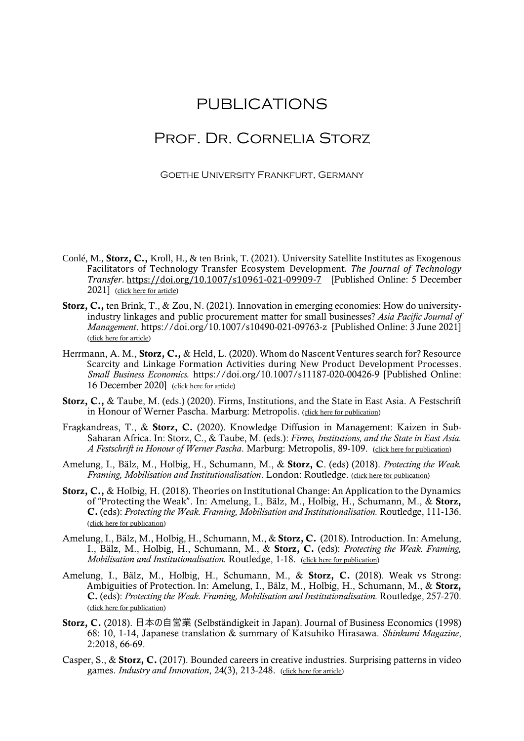## PUBLICATIONS

## Prof. Dr. Cornelia Storz

Goethe University Frankfurt, Germany

- Conlé, M., Storz, C., Kroll, H., & ten Brink, T. (2021). University Satellite Institutes as Exogenous Facilitators of Technology Transfer Ecosystem Development. *The Journal of Technology Transfer*. <https://doi.org/10.1007/s10961-021-09909-7> [Published Online: 5 December 2021] [\(click here for article\)](https://link.springer.com/article/10.1007/s10961-021-09909-7)
- Storz, C., ten Brink, T., & Zou, N. (2021). Innovation in emerging economies: How do universityindustry linkages and public procurement matter for small businesses? *Asia Pacific Journal of Management*.<https://doi.org/10.1007/s10490-021-09763-z>[Published Online: 3 June 2021] [\(click here for article\)](https://link.springer.com/article/10.1007/s10490-021-09763-z?wt_mc=Internal.Event.1.SEM.ArticleAuthorOnlineFirst&utm_source=ArticleAuthorOnlineFirst&utm_medium=email&utm_content=AA_en_06082018&ArticleAuthorOnlineFirst_20210604)
- Herrmann, A. M., Storz, C., & Held, L. (2020). Whom do Nascent Ventures search for? Resource Scarcity and Linkage Formation Activities during New Product Development Processes. *Small Business Economics.* https://doi.org/10.1007/s11187-020-00426-9 [Published Online: 16 December 2020] [\(click here for article\)](https://link.springer.com/epdf/10.1007/s11187-020-00426-9?sharing_token=F7D8TyYSrit4W2CfLSyTh_e4RwlQNchNByi7wbcMAY4HN70-hor6IgGmAMppsbCNGBOtb2N9L7oGfiSvCJwcmTOSwaSsjGMeqFwsBMaBp03E90lckGR5Hzh6JDmLXYRU4cCwmxDCFlvBLbQ25ZCesdZZcghhQJJVmUsbYyPyedA%3D)
- Storz, C., & Taube, M. (eds.) (2020). Firms, Institutions, and the State in East Asia. A Festschrift in Honour of Werner Pascha. Marburg: Metropolis. [\(click here for publication\)](https://www.metropolis-verlag.de/Firms%2C-Institutions%2C-and-the-State-in-East-Asia/1451/book.do)
- Fragkandreas, T., & Storz, C. (2020). Knowledge Diffusion in Management: Kaizen in Sub-Saharan Africa. In: Storz, C., & Taube, M. (eds.): *Firms, Institutions, and the State in East Asia. A Festschrift in Honour of Werner Pascha*. Marburg: Metropolis, 89-109. [\(click here for publication\)](https://www.metropolis-verlag.de/Firms%2C-Institutions%2C-and-the-State-in-East-Asia/1451/book.do)
- Amelung, I., Bälz, M., Holbig, H., Schumann, M., & Storz, C. (eds) (2018). *Protecting the Weak. Framing, Mobilisation and Institutionalisation*. London: Routledge. [\(click here for publication\)](https://www.routledge.com/Protecting-the-Weak-in-East-Asia-Framing-Mobilisation-and-Institutionalisation/Amelung-Balz-Holbig-Schumann-Storz/p/book/9780815368229)
- Storz, C., & Holbig, H. (2018). Theories on Institutional Change: An Application to the Dynamics of "Protecting the Weak". In: Amelung, I., Bälz, M., Holbig, H., Schumann, M., & Storz, C. (eds): *Protecting the Weak. Framing, Mobilisation and Institutionalisation.* Routledge, 111-136. [\(click here for publication\)](https://www.routledge.com/Protecting-the-Weak-in-East-Asia-Framing-Mobilisation-and-Institutionalisation/Amelung-Balz-Holbig-Schumann-Storz/p/book/9780815368229)
- Amelung, I., Bälz, M., Holbig, H., Schumann, M., & Storz, C. (2018). Introduction. In: Amelung, I., Bälz, M., Holbig, H., Schumann, M., & Storz, C. (eds): *Protecting the Weak. Framing, Mobilisation and Institutionalisation.* Routledge, 1-18. [\(click here for publication\)](https://www.routledge.com/Protecting-the-Weak-in-East-Asia-Framing-Mobilisation-and-Institutionalisation/Amelung-Balz-Holbig-Schumann-Storz/p/book/9780815368229)
- Amelung, I., Bälz, M., Holbig, H., Schumann, M., & Storz, C. (2018). Weak vs Strong: Ambiguities of Protection. In: Amelung, I., Bälz, M., Holbig, H., Schumann, M., & Storz, C. (eds): *Protecting the Weak. Framing, Mobilisation and Institutionalisation.* Routledge, 257-270. [\(click here for publication\)](https://www.routledge.com/Protecting-the-Weak-in-East-Asia-Framing-Mobilisation-and-Institutionalisation/Amelung-Balz-Holbig-Schumann-Storz/p/book/9780815368229)
- Storz, C. (2018). 日本の自営業 (Selbständigkeit in Japan). Journal of Business Economics (1998) 68: 10, 1-14, Japanese translation & summary of Katsuhiko Hirasawa. *Shinkumi Magazine*, 2:2018, 66-69.
- Casper, S., & Storz, C. (2017). Bounded careers in creative industries. Surprising patterns in video games. *Industry and Innovation*, 24(3), 213-248. [\(click here for article\)](https://www.tandfonline.com/doi/full/10.1080/13662716.2016.1224705)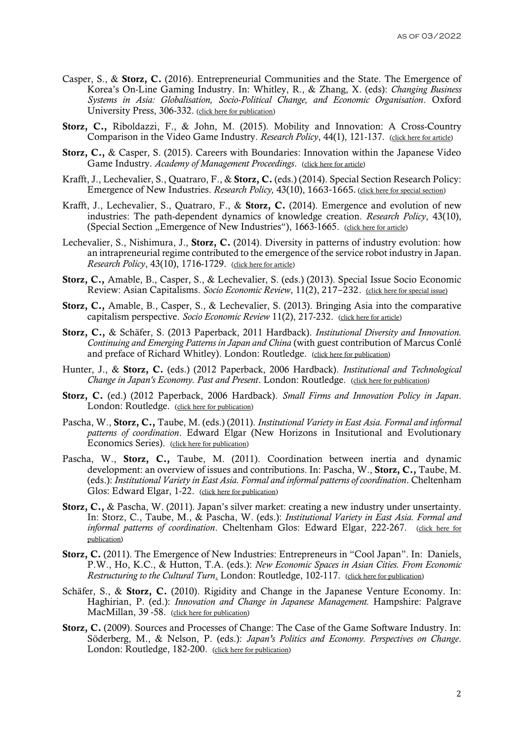- Casper, S., & Storz, C. (2016). Entrepreneurial Communities and the State. The Emergence of Korea's On-Line Gaming Industry. In: Whitley, R., & Zhang, X. (eds): *Changing Business Systems in Asia: Globalisation, Socio-Political Change, and Economic Organisation*. Oxford University Press, 306-332. [\(click here for publication\)](https://www.oxfordscholarship.com/view/10.1093/acprof:oso/9780198729167.001.0001/acprof-9780198729167)
- Storz, C., Riboldazzi, F., & John, M. (2015). Mobility and Innovation: A Cross-Country Comparison in the Video Game Industry. *Research Policy*, 44(1), 121-137. [\(click here for article\)](http://www.sciencedirect.com/science/article/pii/S004873331400136X)
- Storz, C., & Casper, S. (2015). Careers with Boundaries: Innovation within the Japanese Video Game Industry. *Academy of Management Proceedings*. [\(click here for article\)](https://journals.aom.org/doi/10.5465/ambpp.2015.15463abstract)
- Krafft, J., Lechevalier, S., Quatraro, F., & Storz, C. (eds.) (2014). Special Section Research Policy: Emergence of New Industries. *Research Policy,* 43(10), 1663-1665. [\(click here for special section\)](https://www.sciencedirect.com/journal/research-policy/vol/43/issue/10)
- Krafft, J., Lechevalier, S., Quatraro, F., & Storz, C. (2014). Emergence and evolution of new industries: The path-dependent dynamics of knowledge creation. *Research Policy*, 43(10), (Special Section "Emergence of New Industries"), 1663-1665. [\(click here for article\)](http://www.sciencedirect.com/science/article/pii/S0048733314001279)
- Lechevalier, S., Nishimura, J., Storz, C. (2014). Diversity in patterns of industry evolution: how an intrapreneurial regime contributed to the emergence of the service robot industry in Japan. *Research Policy*, 43(10), 1716-1729. [\(click here for article\)](http://www.sciencedirect.com/science/article/pii/S0048733314001334)
- Storz, C., Amable, B., Casper, S., & Lechevalier, S. (eds.) (2013). Special Issue Socio Economic Review: Asian Capitalisms. *Socio Economic Review*, 11(2), 217–232. [\(click here for special issue\)](http://ser.oxfordjournals.org/content/11/2.toc)
- Storz, C., Amable, B., Casper, S., & Lechevalier, S. (2013). Bringing Asia into the comparative capitalism perspective. *Socio Economic Review* [11\(2\)](http://ser.oxfordjournals.org/content/11/2.toc), 217-232. [\(click here for article\)](https://doi.org/10.1093/ser/mwt004)
- Storz, C., & Schäfer, S. (2013 Paperback, 2011 Hardback). *Institutional Diversity and Innovation. Continuing and Emerging Patterns in Japan and China* (with guest contribution of Marcus Conlé and preface of Richard Whitley). London: Routledge. [\(click here for publication\)](https://www.routledge.com/Institutional-Diversity-and-Innovation-Continuing-and-Emerging-Patterns/Storz-Schafer-Conle/p/book/9780415726207)
- Hunter, J., & Storz, C. (eds.) (2012 Paperback, 2006 Hardback). *Institutional and Technological Change in Japan's Economy. Past and Present. London: Routledge.* [\(click here for publication\)](https://www.routledge.com/Institutional-and-Technological-Change-in-Japans-Economy-Past-and-Present/Hunter-Storz/p/book/9780415648585)
- Storz, C. (ed.) (2012 Paperback, 2006 Hardback). *Small Firms and Innovation Policy in Japan*. London: Routledge. (click [here for publication\)](https://www.routledge.com/Small-Firms-and-Innovation-Policy-in-Japan-1st-Edition/Storz/p/book/9780415651721)
- Pascha, W., Storz, C., Taube, M. (eds.) (2011). *Institutional Variety in East Asia. Formal and informal patterns of coordination*. Edward Elgar (New Horizons in Insitutional and Evolutionary Economics Series). [\(click here for publication\)](https://www.e-elgar.com/shop/gbp/institutional-variety-in-east-asia-9781849807951.html)
- Pascha, W., Storz, C., Taube, M. (2011). Coordination between inertia and dynamic development: an overview of issues and contributions. In: Pascha, W., Storz, C., Taube, M. (eds.): *Institutional Variety in East Asia. Formal and informal patterns of coordination*. Cheltenham Glos: Edward Elgar, 1-22. [\(click here for publication\)](https://www.researchgate.net/publication/265412074_Coordination_between_inertia_and_dynamic_development_An_overview_of_issues_and_contributions)
- Storz, C., & Pascha, W. (2011). Japan's silver market: creating a new industry under unsertainty. In: Storz, C., Taube, M., & Pascha, W. (eds.): *Institutional Variety in East Asia. Formal and informal patterns of coordination*. Cheltenham Glos: Edward Elgar, 222-267. [\(click here for](https://ideas.repec.org/h/elg/eechap/14221_10.html)  [publication\)](https://ideas.repec.org/h/elg/eechap/14221_10.html)
- Storz, C. (2011). The Emergence of New Industries: Entrepreneurs in "Cool Japan". In: Daniels, P.W., Ho, K.C., & Hutton, T.A. (eds.): *New Economic Spaces in Asian Cities. From Economic Restructuring to the Cultural Turn*. London: Routledge, 102-117. [\(click here for publication\)](https://www.routledge.com/New-Economic-Spaces-in-Asian-Cities-From-Industrial-Restructuring-to-the/Daniels-Ho-Hutton/p/book/9780415567732)
- Schäfer, S., & Storz, C. (2010). Rigidity and Change in the Japanese Venture Economy. In: Haghirian, P. (ed.): *Innovation and Change in Japanese Management.* Hampshire: Palgrave MacMillan, 39 -58. [\(click here for publication\)](https://www.palgrave.com/gp/book/9780230216679)
- Storz, C. (2009). Sources and Processes of Change: The Case of the Game Software Industry. In: Söderberg, M., & Nelson, P. (eds.): *Japan's Politics and Economy. Perspectives on Change*. London: Routledge, 182-200. [\(click here for publication\)](https://www.routledge.com/Japans-Politics-and-Economy-Perspectives-on-change-1st-Edition/Soderberg-Nelson/p/book/9780415547529)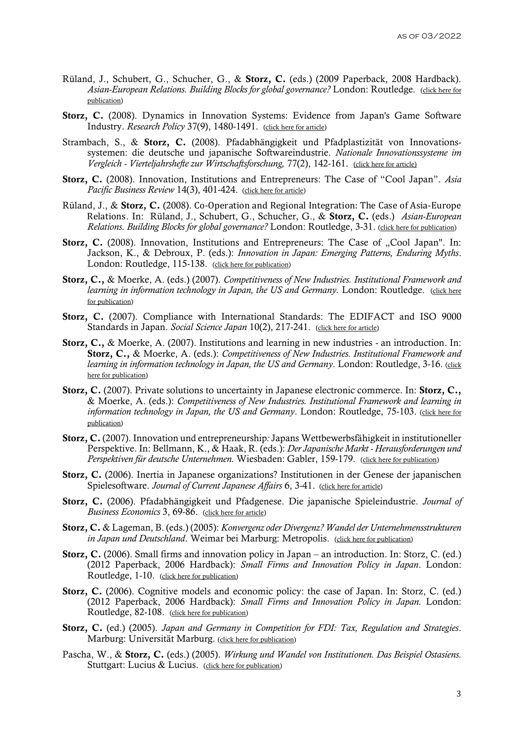- Rüland, J., Schubert, G., Schucher, G., & Storz, C. (eds.) (2009 Paperback, 2008 Hardback). *Asian-European Relations. Building Blocks for global governance?* London: Routledge. [\(click here for](https://www.routledge.com/Asian-European-Relations-Building-Blocks-for-Global-Governance-1st-Edition/Ruland-Schubert-Schucher-Storz/p/book/9780415574235)  [publication\)](https://www.routledge.com/Asian-European-Relations-Building-Blocks-for-Global-Governance-1st-Edition/Ruland-Schubert-Schucher-Storz/p/book/9780415574235)
- Storz, C. (2008). Dynamics in Innovation Systems: Evidence from Japan's Game Software Industry. *Research Policy* 37(9), 1480-1491. [\(click here for article\)](https://doi.org/10.1016/j.respol.2008.05.007)
- Strambach, S., & Storz, C. (2008). Pfadabhängigkeit und Pfadplastizität von Innovationssystemen: die deutsche und japanische Softwareindustrie. *Nationale Innovationssysteme im Vergleich - Vierteljahrshefte zur Wirtschaftsforschung,* 77(2), 142-161. [\(click here for article\)](http://ejournals.duncker-humblot.de/toc/vjh/77/2)
- Storz, C. (2008). Innovation, Institutions and Entrepreneurs: The Case of "Cool Japan". *Asia Pacific Business Review* 14(3), 401-424. [\(click here for article\)](https://doi.org/10.1080/13602380802116823)
- Rüland, J., & Storz, C. (2008). Co-Operation and Regional Integration: The Case of Asia-Europe Relations. In: Rüland, J., Schubert, G., Schucher, G., & Storz, C. (eds.) *Asian-European Relations. Building Blocks for global governance?* London: Routledge, 3-31. [\(click here for publication\)](https://www.routledge.com/Asian-European-Relations-Building-Blocks-for-Global-Governance-1st-Edition/Ruland-Schubert-Schucher-Storz/p/book/9780415574235)
- Storz, C. (2008). Innovation, Institutions and Entrepreneurs: The Case of "Cool Japan". In: Jackson, K., & Debroux, P. (eds.): *Innovation in Japan: Emerging Patterns, Enduring Myths*. London: Routledge, 115-138. [\(click here for publication\)](https://www.routledge.com/Innovation-in-Japan-Emerging-Patterns-Enduring-Myths-1st-Edition/Jackson-Debroux/p/book/9781315869278)
- Storz, C., & Moerke, A. (eds.) (2007). *Competitiveness of New Industries. Institutional Framework and learning in information technology in Japan, the US and Germany. London: Routledge.* (click here [for publication\)](https://www.routledge.com/Competitiveness-of-New-Industries-Institutional-Framework-and-Learning/Storz-Moerke/p/book/9780415547819)
- Storz, C. (2007). Compliance with International Standards: The EDIFACT and ISO 9000 Standards in Japan. *Social Science Japan* 10(2), 217-241. [\(click here for article\)](https://doi.org/10.1093/ssjj/jym048)
- Storz, C., & Moerke, A. (2007). Institutions and learning in new industries an introduction. In: Storz, C., & Moerke, A. (eds.): *Competitiveness of New Industries. Institutional Framework and learning in information technology in Japan, the US and Germany*. London: Routledge, 3-16. [\(click](https://www.routledge.com/Competitiveness-of-New-Industries-Institutional-Framework-and-Learning/Storz-Moerke/p/book/9780415547819)  [here for publication\)](https://www.routledge.com/Competitiveness-of-New-Industries-Institutional-Framework-and-Learning/Storz-Moerke/p/book/9780415547819)
- Storz, C. (2007). Private solutions to uncertainty in Japanese electronic commerce. In: Storz, C., & Moerke, A. (eds.): *Competitiveness of New Industries. Institutional Framework and learning in information technology in Japan, the US and Germany*. London: Routledge, 75-103. [\(click here for](https://www.routledge.com/Competitiveness-of-New-Industries-Institutional-Framework-and-Learning/Storz-Moerke/p/book/9780415547819)  [publication\)](https://www.routledge.com/Competitiveness-of-New-Industries-Institutional-Framework-and-Learning/Storz-Moerke/p/book/9780415547819)
- Storz, C. (2007). Innovation und entrepreneurship*:* Japans Wettbewerbsfähigkeit in institutioneller Perspektive. In: Bellmann, K., & Haak, R. (eds.): *Der Japanische Markt - Herausforderungen und Perspektiven für deutsche Unternehmen.* Wiesbaden: Gabler, 159-179. [\(click here for publication\)](https://www.springer.com/gp/book/9783835007352)
- Storz, C. (2006). Inertia in Japanese organizations? Institutionen in der Genese der japanischen Spielesoftware. *Journal of Current Japanese Affairs* 6, 3-41. [\(click here for article\)](https://www.researchgate.net/publication/5080186_Inertia_in_Japanese_organizations_Institutionen_in_der_Genese_der_japanischen_Spielesoftware)
- Storz, C. (2006). Pfadabhängigkeit und Pfadgenese. Die japanische Spieleindustrie. *Journal of Business Economics* 3, 69-86. [\(click here for article\)](https://www.researchgate.net/publication/265412450_Pfadabhangigkeit_und_Pfadgenese_Die_japanische_Spieleindustrie)
- Storz, C. & Lageman, B. (eds.) (2005): *Konvergenz oder Divergenz? Wandel der Unternehmensstrukturen in Japan und Deutschland*. Weimar bei Marburg: Metropolis. [\(click here for publication\)](https://www.metropolis-verlag.de/Konvergenz-oder-Divergenz%3F/478/book.do)
- Storz, C. (2006). Small firms and innovation policy in Japan an introduction. In: Storz, C. (ed.) (2012 Paperback, 2006 Hardback): *Small Firms and Innovation Policy in Japan*. London: Routledge, 1-10. [\(click here for publication\)](https://www.routledge.com/Small-Firms-and-Innovation-Policy-in-Japan-1st-Edition/Storz/p/book/9780415651721)
- Storz, C. (2006). Cognitive models and economic policy: the case of Japan. In: Storz, C. (ed.) (2012 Paperback, 2006 Hardback): *Small Firms and Innovation Policy in Japan.* London: Routledge, 82-108. [\(click here for publication\)](https://www.routledge.com/Small-Firms-and-Innovation-Policy-in-Japan-1st-Edition/Storz/p/book/9780415651721)
- Storz, C. (ed.) (2005). *Japan and Germany in Competition for FDI: Tax, Regulation and Strategies*. Marburg: Universität Marburg. [\(click here for publication\)](https://www.researchgate.net/publication/265412546_Germany_and_Japan_in_competition_for_FDI_tax_systems_regulations_and_business_strategies)
- Pascha, W., & Storz, C. (eds.) (2005). *Wirkung und Wandel von Institutionen. Das Beispiel Ostasiens.*  Stuttgart: Lucius & Lucius. [\(click here for publication\)](https://www.degruyter.com/document/doi/10.1515/9783110510669/html)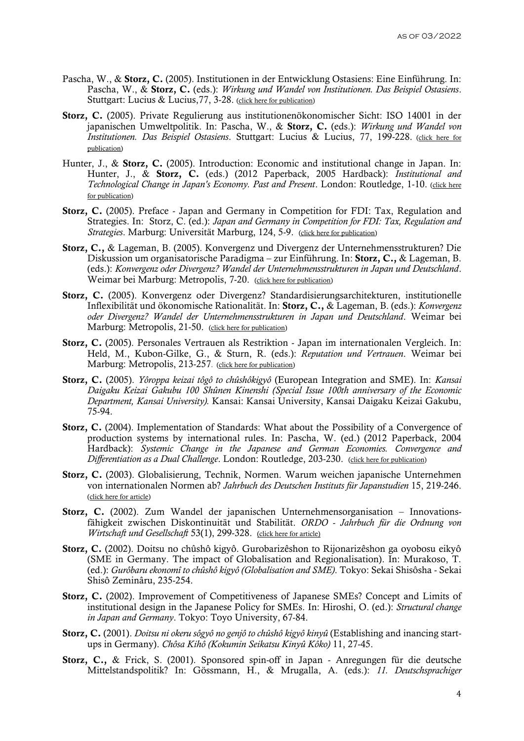- Pascha, W., & Storz, C. (2005). Institutionen in der Entwicklung Ostasiens: Eine Einführung. In: Pascha, W., & Storz, C. (eds.): *Wirkung und Wandel von Institutionen. Das Beispiel Ostasiens*. Stuttgart: Lucius & Lucius, 77, 3-28. [\(click here for publication\)](https://www.degruyter.com/document/doi/10.1515/9783110510669/html)
- Storz, C. (2005). Private Regulierung aus institutionenökonomischer Sicht: ISO 14001 in der japanischen Umweltpolitik. In: Pascha, W., & Storz, C. (eds.): *Wirkung und Wandel von Institutionen. Das Beispiel Ostasiens*. Stuttgart: Lucius & Lucius, 77, 199-228. [\(click here for](https://www.degruyter.com/document/doi/10.1515/9783110510669/html)  [publication\)](https://www.degruyter.com/document/doi/10.1515/9783110510669/html)
- Hunter, J., & Storz, C. (2005). Introduction: Economic and institutional change in Japan. In: Hunter, J., & Storz, C. (eds.) (2012 Paperback, 2005 Hardback): *Institutional and Technological Change in Japan's Economy. Past and Present*. London: Routledge, 1-10. [\(click here](https://www.routledge.com/Institutional-and-Technological-Change-in-Japans-Economy-Past-and-Present/Hunter-Storz/p/book/9780415648585)  [for publication\)](https://www.routledge.com/Institutional-and-Technological-Change-in-Japans-Economy-Past-and-Present/Hunter-Storz/p/book/9780415648585)
- Storz, C. (2005). Preface Japan and Germany in Competition for FDI: Tax, Regulation and Strategies. In: Storz, C. (ed.): *Japan and Germany in Competition for FDI: Tax, Regulation and Strategies*. Marburg: Universität Marburg, 124, 5-9. [\(click here for publication\)](https://www.uni-marburg.de/de/ub/ueber-uns/oeffentlichkeitsarbeit/publikationen/schriften-der-universitaetsbibliothek)
- Storz, C., & Lageman, B. (2005). Konvergenz und Divergenz der Unternehmensstrukturen? Die Diskussion um organisatorische Paradigma – zur Einführung. In: Storz, C., & Lageman, B. (eds.): *Konvergenz oder Divergenz? Wandel der Unternehmensstrukturen in Japan und Deutschland*. Weimar bei Marburg: Metropolis, 7-20. [\(click here for publication\)](https://www.metropolis-verlag.de/Konvergenz-oder-Divergenz%3F/478/book.do)
- Storz, C. (2005). Konvergenz oder Divergenz? Standardisierungsarchitekturen, institutionelle Inflexibilität und ökonomische Rationalität. In: Storz, C., & Lageman, B. (eds.): *Konvergenz oder Divergenz? Wandel der Unternehmensstrukturen in Japan und Deutschland*. Weimar bei Marburg: Metropolis, 21-50. [\(click here for publication\)](https://www.metropolis-verlag.de/Konvergenz-oder-Divergenz%3F/478/book.do)
- Storz, C. (2005). Personales Vertrauen als Restriktion Japan im internationalen Vergleich. In: Held, M., Kubon-Gilke, G., & Sturn, R. (eds.): *Reputation und Vertrauen*. Weimar bei Marburg: Metropolis, 213-257. [\(click here for publication\)](https://www.metropolis-verlag.de/Reputation-und-Vertrauen/495/book.do)
- Storz, C. (2005). *Yôroppa keizai tôgô to chûshôkigyô* (European Integration and SME). In: *Kansai Daigaku Keizai Gakubu 100 Shûnen Kinenshi (Special Issue 100th anniversary of the Economic Department, Kansai University).* Kansai: Kansai University, Kansai Daigaku Keizai Gakubu, 75-94.
- Storz, C. (2004). Implementation of Standards: What about the Possibility of a Convergence of production systems by international rules. In: Pascha, W. (ed.) (2012 Paperback, 2004 Hardback): *Systemic Change in the Japanese and German Economies. Convergence and Differentiation as a Dual Challenge*. London: Routledge, 203-230. [\(click here for publication\)](https://www.routledge.com/Systemic-Changes-in-the-German-and-Japanese-Economies-Convergence-and/Pascha/p/book/9780415652155)
- Storz, C. (2003). Globalisierung, Technik, Normen. Warum weichen japanische Unternehmen von internationalen Normen ab? *Jahrbuch des Deutschen Instituts für Japanstudien* 15, 219-246. [\(click here for article\)](https://www.researchgate.net/publication/265412553_Globalisierung_Technik_Normen_Warum_weichen_japanische_Unternehmen_von_internationalen_Normen_ab)
- Storz, C. (2002). Zum Wandel der japanischen Unternehmensorganisation Innovationsfähigkeit zwischen Diskontinuität und Stabilität. *ORDO - Jahrbuch für die Ordnung von Wirtschaft und Gesellschaft* 53(1), 299-328. [\(click here for article\)](https://www.degruyter.com/view/j/ordo.2002.53.issue-1/ordo-2002-0117/ordo-2002-0117.xml)
- Storz, C. (2002). Doitsu no chûshô kigyô. Gurobarizêshon to Rijonarizêshon ga oyobosu eikyô (SME in Germany. The impact of Globalisation and Regionalisation). In: Murakoso, T. (ed.): *Gurôbaru ekonomî to chûshô kigyô (Globalisation and SME)*. Tokyo: Sekai Shisôsha - Sekai Shisô Zeminâru, 235-254.
- Storz, C. (2002). Improvement of Competitiveness of Japanese SMEs? Concept and Limits of institutional design in the Japanese Policy for SMEs. In: Hiroshi, O. (ed.): *Structural change in Japan and Germany*. Tokyo: Toyo University, 67-84.
- Storz, C. (2001). *Doitsu ni okeru sôgyô no genjô to chûshô kigyô kinyû* (Establishing and inancing startups in Germany). *Chôsa Kihô (Kokumin Seikatsu Kinyû Kôko)* 11, 27-45.
- Storz, C., & Frick, S. (2001). Sponsored spin-off in Japan Anregungen für die deutsche Mittelstandspolitik? In: Gössmann, H., & Mrugalla, A. (eds.): *11. Deutschsprachiger*